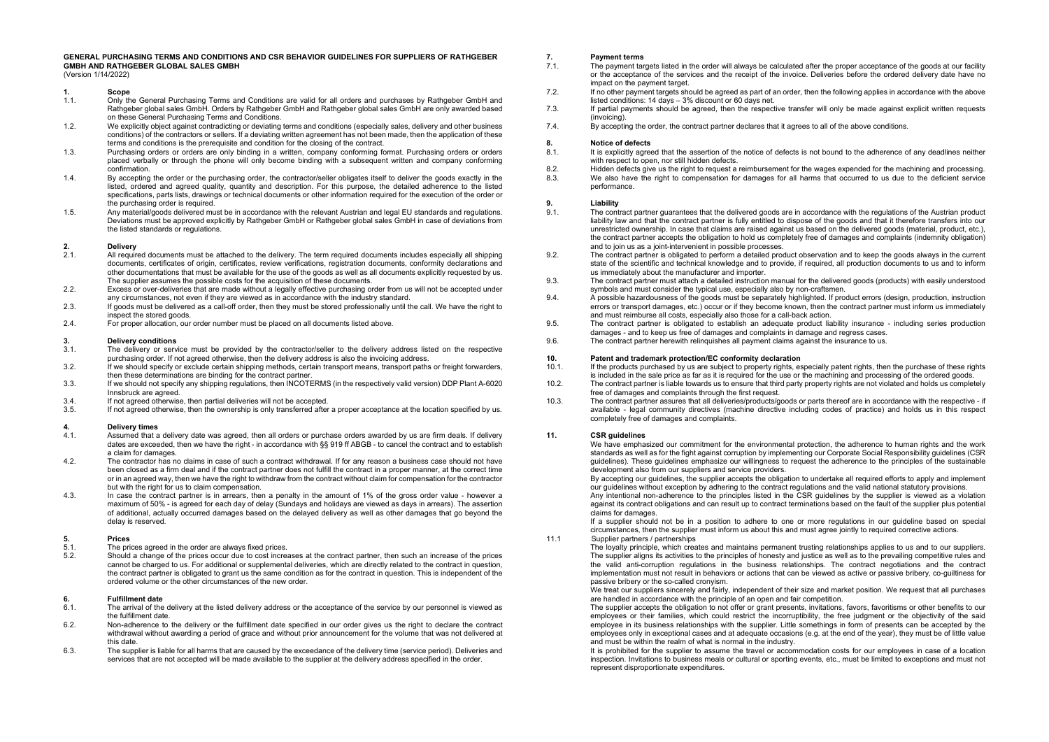#### **GENERAL PURCHASING TERMS AND CONDITIONS AND CSR BEHAVIOR GUIDELINES FOR SUPPLIERS OF RATHGEBER GMBH AND RATHGEBER GLOBAL SALES GMBH**

(Version 1/14/2022)

- 
- **1. Scope** 1.1. Only the General Purchasing Terms and Conditions are valid for all orders and purchases by Rathgeber GmbH and Rathgeber global sales GmbH. Orders by Rathgeber GmbH and Rathgeber global sales GmbH are only awarded based on these General Purchasing Terms and Conditions.
- 1.2. We explicitly object against contradicting or deviating terms and conditions (especially sales, delivery and other business conditions) of the contractors or sellers. If a deviating written agreement has not been made, then the application of these terms and conditions is the prerequisite and condition for the closing of the contract.
- 1.3. Purchasing orders or orders are only binding in a written, company conforming format. Purchasing orders or orders placed verbally or through the phone will only become binding with a subsequent written and company conforming confirmation.
- 1.4. By accepting the order or the purchasing order, the contractor/seller obligates itself to deliver the goods exactly in the listed, ordered and agreed quality, quantity and description. For this purpose, the detailed adherence to the listed specifications, parts lists, drawings or technical documents or other information required for the execution of the order or the purchasing order is required.
- 1.5. Any material/goods delivered must be in accordance with the relevant Austrian and legal EU standards and regulations. Deviations must be approved explicitly by Rathgeber GmbH or Rathgeber global sales GmbH in case of deviations from the listed standards or regulations.

## **2. Delivery**

- 2.1. All required documents must be attached to the delivery. The term required documents includes especially all shipping documents, certificates of origin, certificates, review verifications, registration documents, conformity declarations and other documentations that must be available for the use of the goods as well as all documents explicitly requested by us. The supplier assumes the possible costs for the acquisition of these documents.
- 2.2. Excess or over-deliveries that are made without a legally effective purchasing order from us will not be accepted under any circumstances, not even if they are viewed as in accordance with the industry standard.
- 2.3. If goods must be delivered as a call-off order, then they must be stored professionally until the call. We have the right to inspect the stored goods.
- 2.4. For proper allocation, our order number must be placed on all documents listed above.

### **3. Delivery conditions**<br>3.1 **The delivery or serve**

- 3.1. The delivery or service must be provided by the contractor/seller to the delivery address listed on the respective purchasing order. If not agreed otherwise, then the delivery address is also the invoicing address.
- 3.2. If we should specify or exclude certain shipping methods, certain transport means, transport paths or freight forwarders, then these determinations are binding for the contract partner.
- 3.3. If we should not specify any shipping regulations, then INCOTERMS (in the respectively valid version) DDP Plant A-6020 Innsbruck are agreed.
- 3.4. If not agreed otherwise, then partial deliveries will not be accepted.<br>3.5. If not agreed otherwise, then the ownership is only transferred after
- If not agreed otherwise, then the ownership is only transferred after a proper acceptance at the location specified by us.

### **4. Delivery times**

- 4.1. Assumed that a delivery date was agreed, then all orders or purchase orders awarded by us are firm deals. If delivery dates are exceeded, then we have the right - in accordance with §§ 919 ff ABGB - to cancel the contract and to establish a claim for damages.
- 4.2. The contractor has no claims in case of such a contract withdrawal. If for any reason a business case should not have been closed as a firm deal and if the contract partner does not fulfill the contract in a proper manner, at the correct time or in an agreed way, then we have the right to withdraw from the contract without claim for compensation for the contractor but with the right for us to claim compensation.
- 4.3. In case the contract partner is in arrears, then a penalty in the amount of 1% of the gross order value however a maximum of 50% - is agreed for each day of delay (Sundays and holidays are viewed as days in arrears). The assertion of additional, actually occurred damages based on the delayed delivery as well as other damages that go beyond the delay is reserved.

### **5. Prices**

- 5.1. The prices agreed in the order are always fixed prices.<br>5.2 Should a change of the prices occur due to cost increa
- Should a change of the prices occur due to cost increases at the contract partner, then such an increase of the prices cannot be charged to us. For additional or supplemental deliveries, which are directly related to the contract in question, the contract partner is obligated to grant us the same condition as for the contract in question. This is independent of the ordered volume or the other circumstances of the new order.

### **6. Fulfillment date**

- The arrival of the delivery at the listed delivery address or the acceptance of the service by our personnel is viewed as the fulfillment date.
- 6.2. Non-adherence to the delivery or the fulfillment date specified in our order gives us the right to declare the contract withdrawal without awarding a period of grace and without prior announcement for the volume that was not delivered at this date.
- 6.3. The supplier is liable for all harms that are caused by the exceedance of the delivery time (service period). Deliveries and services that are not accepted will be made available to the supplier at the delivery address specified in the order.

### **7. Payment terms**

- The payment targets listed in the order will always be calculated after the proper acceptance of the goods at our facility or the acceptance of the services and the receipt of the invoice. Deliveries before the ordered delivery date have no impact on the payment target.
- 7.2. If no other payment targets should be agreed as part of an order, then the following applies in accordance with the above listed conditions: 14 days – 3% discount or 60 days net.
- 7.3. If partial payments should be agreed, then the respective transfer will only be made against explicit written requests (invoicing).
- 7.4. By accepting the order, the contract partner declares that it agrees to all of the above conditions.

# **8. Notice of defects**

- It is explicitly agreed that the assertion of the notice of defects is not bound to the adherence of any deadlines neither with respect to open, nor still hidden defects.
- 8.2. Hidden defects give us the right to request a reimbursement for the wages expended for the machining and processing.<br>8.3 We also have the right to compensation for damages for all harms that occurred to us due to the
- We also have the right to compensation for damages for all harms that occurred to us due to the deficient service performance.

### **9. Liability**

- The contract partner guarantees that the delivered goods are in accordance with the regulations of the Austrian product liability law and that the contract partner is fully entitled to dispose of the goods and that it therefore transfers into our unrestricted ownership. In case that claims are raised against us based on the delivered goods (material, product, etc.), the contract partner accepts the obligation to hold us completely free of damages and complaints (indemnity obligation) and to join us as a joint-intervenient in possible processes.
- 9.2. The contract partner is obligated to perform a detailed product observation and to keep the goods always in the current state of the scientific and technical knowledge and to provide, if required, all production documents to us and to inform us immediately about the manufacturer and importer.
- 9.3. The contract partner must attach a detailed instruction manual for the delivered goods (products) with easily understood symbols and must consider the typical use, especially also by non-craftsmen.
- 9.4. A possible hazardousness of the goods must be separately highlighted. If product errors (design, production, instruction errors or transport damages, etc.) occur or if they become known, then the contract partner must inform us immediately and must reimburse all costs, especially also those for a call-back action.
- 9.5. The contract partner is obligated to establish an adequate product liability insurance including series production damages - and to keep us free of damages and complaints in damage and regress cases.
- 9.6. The contract partner herewith relinquishes all payment claims against the insurance to us.

# **10. Patent and trademark protection/EC conformity declaration**

- If the products purchased by us are subject to property rights, especially patent rights, then the purchase of these rights is included in the sale price as far as it is required for the use or the machining and processing of the ordered goods.
- 10.2. The contract partner is liable towards us to ensure that third party property rights are not violated and holds us completely free of damages and complaints through the first request.
- 10.3. The contract partner assures that all deliveries/products/goods or parts thereof are in accordance with the respective if available - legal community directives (machine directive including codes of practice) and holds us in this respect completely free of damages and complaints.

#### **11. CSR guidelines**

We have emphasized our commitment for the environmental protection, the adherence to human rights and the work standards as well as for the fight against corruption by implementing our Corporate Social Responsibility guidelines (CSR guidelines). These guidelines emphasize our willingness to request the adherence to the principles of the sustainable development also from our suppliers and service providers.

By accepting our guidelines, the supplier accepts the obligation to undertake all required efforts to apply and implement our guidelines without exception by adhering to the contract regulations and the valid national statutory provisions.

Any intentional non-adherence to the principles listed in the CSR guidelines by the supplier is viewed as a violation against its contract obligations and can result up to contract terminations based on the fault of the supplier plus potential claims for damages.

If a supplier should not be in a position to adhere to one or more regulations in our guideline based on special circumstances, then the supplier must inform us about this and must agree jointly to required corrective actions.

11.1 Supplier partners / partnerships

The loyalty principle, which creates and maintains permanent trusting relationships applies to us and to our suppliers. The supplier aligns its activities to the principles of honesty and justice as well as to the prevailing competitive rules and the valid anti-corruption regulations in the business relationships. The contract negotiations and the contract implementation must not result in behaviors or actions that can be viewed as active or passive bribery, co-guiltiness for passive bribery or the so-called cronyism.

We treat our suppliers sincerely and fairly, independent of their size and market position. We request that all purchases are handled in accordance with the principle of an open and fair competition.

The supplier accepts the obligation to not offer or grant presents, invitations, favors, favoritisms or other benefits to our employees or their families, which could restrict the incorruptibility, the free judgment or the objectivity of the said employee in its business relationships with the supplier. Little somethings in form of presents can be accepted by the employees only in exceptional cases and at adequate occasions (e.g. at the end of the year), they must be of little value and must be within the realm of what is normal in the industry.

It is prohibited for the supplier to assume the travel or accommodation costs for our employees in case of a location inspection. Invitations to business meals or cultural or sporting events, etc., must be limited to exceptions and must not represent disproportionate expenditures.